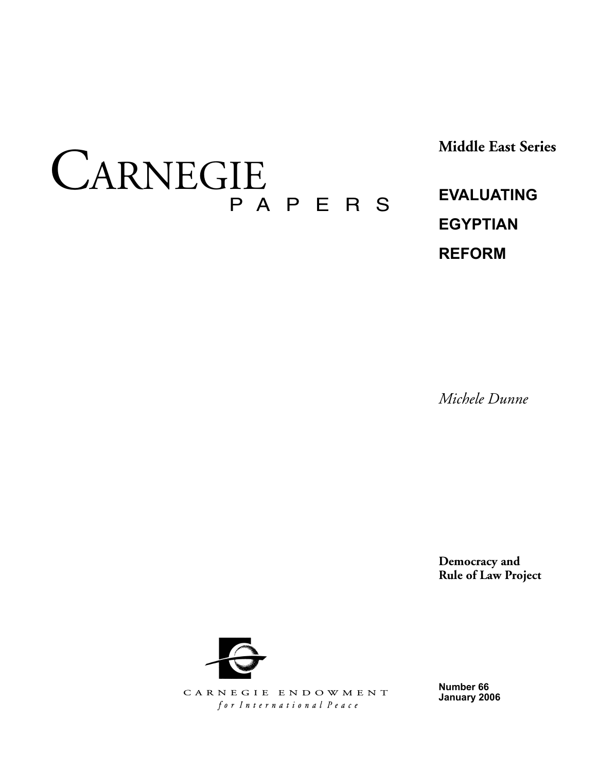CARNEGIE P a p e r s **Middle East Series**

**Evaluating Egyptian Reform**

*Michele Dunne*

**Democracy and Rule of Law Project**



CARNEGIE ENDOWMENT for International Peace

**Number 66 January 2006**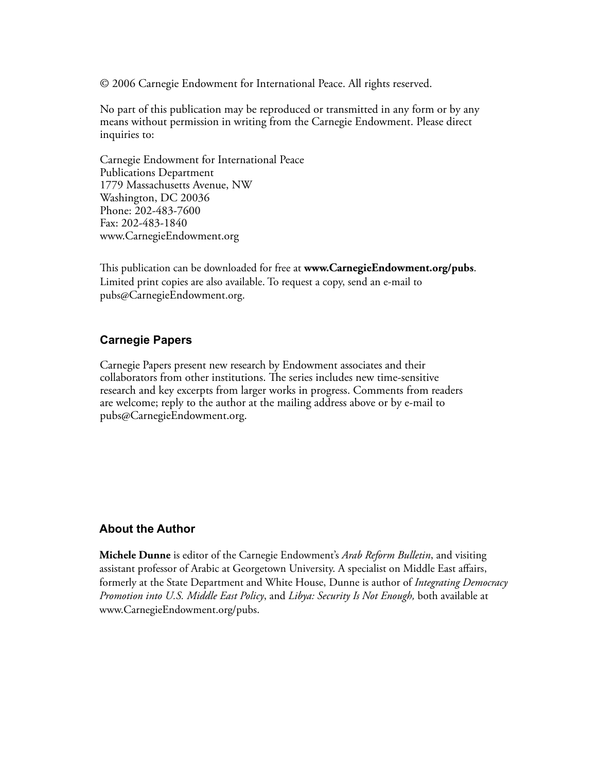© 2006 Carnegie Endowment for International Peace. All rights reserved.

No part of this publication may be reproduced or transmitted in any form or by any means without permission in writing from the Carnegie Endowment. Please direct inquiries to:

Carnegie Endowment for International Peace Publications Department 1779 Massachusetts Avenue, NW Washington, DC 20036 Phone: 202-483-7600 Fax: 202-483-1840 www.CarnegieEndowment.org

This publication can be downloaded for free at **www.CarnegieEndowment.org/pubs**. Limited print copies are also available. To request a copy, send an e-mail to pubs@CarnegieEndowment.org.

# **Carnegie Papers**

Carnegie Papers present new research by Endowment associates and their collaborators from other institutions. The series includes new time-sensitive research and key excerpts from larger works in progress. Comments from readers are welcome; reply to the author at the mailing address above or by e-mail to pubs@CarnegieEndowment.org.

# **About the Author**

**Michele Dunne** is editor of the Carnegie Endowment's *Arab Reform Bulletin*, and visiting assistant professor of Arabic at Georgetown University. A specialist on Middle East affairs, formerly at the State Department and White House, Dunne is author of *Integrating Democracy Promotion into U.S. Middle East Policy*, and *Libya: Security Is Not Enough,* both available at www.CarnegieEndowment.org/pubs.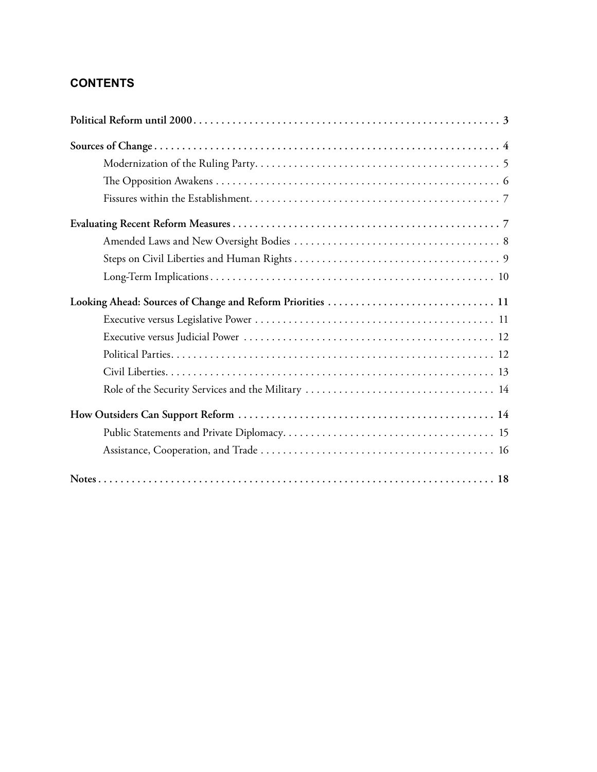# **Contents**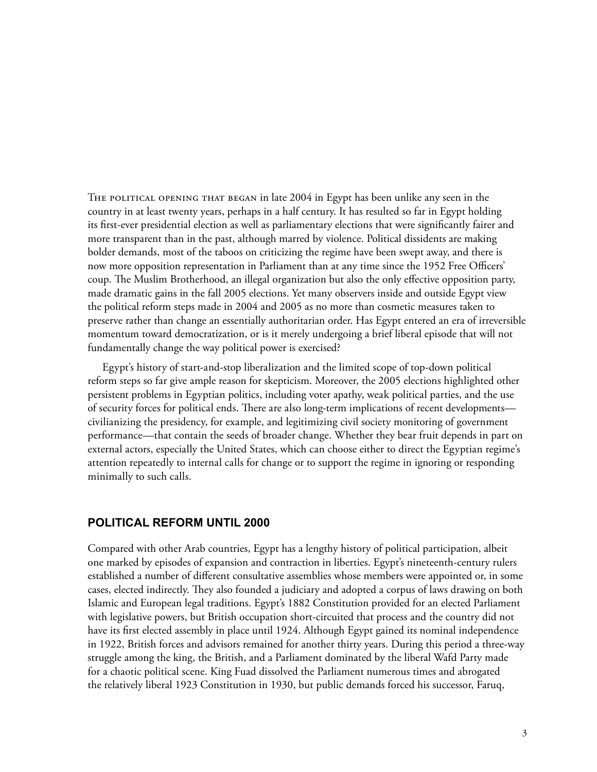THE POLITICAL OPENING THAT BEGAN in late 2004 in Egypt has been unlike any seen in the country in at least twenty years, perhaps in a half century. It has resulted so far in Egypt holding its first-ever presidential election as well as parliamentary elections that were significantly fairer and more transparent than in the past, although marred by violence. Political dissidents are making bolder demands, most of the taboos on criticizing the regime have been swept away, and there is now more opposition representation in Parliament than at any time since the 1952 Free Officers' coup. The Muslim Brotherhood, an illegal organization but also the only effective opposition party, made dramatic gains in the fall 2005 elections. Yet many observers inside and outside Egypt view the political reform steps made in 2004 and 2005 as no more than cosmetic measures taken to preserve rather than change an essentially authoritarian order. Has Egypt entered an era of irreversible momentum toward democratization, or is it merely undergoing a brief liberal episode that will not fundamentally change the way political power is exercised?

Egypt's history of start-and-stop liberalization and the limited scope of top-down political reform steps so far give ample reason for skepticism. Moreover, the 2005 elections highlighted other persistent problems in Egyptian politics, including voter apathy, weak political parties, and the use of security forces for political ends. There are also long-term implications of recent developments civilianizing the presidency, for example, and legitimizing civil society monitoring of government performance—that contain the seeds of broader change. Whether they bear fruit depends in part on external actors, especially the United States, which can choose either to direct the Egyptian regime's attention repeatedly to internal calls for change or to support the regime in ignoring or responding minimally to such calls.

# **Political Reform until 2000**

Compared with other Arab countries, Egypt has a lengthy history of political participation, albeit one marked by episodes of expansion and contraction in liberties. Egypt's nineteenth-century rulers established a number of different consultative assemblies whose members were appointed or, in some cases, elected indirectly. They also founded a judiciary and adopted a corpus of laws drawing on both Islamic and European legal traditions. Egypt's 1882 Constitution provided for an elected Parliament with legislative powers, but British occupation short-circuited that process and the country did not have its first elected assembly in place until 1924. Although Egypt gained its nominal independence in 1922, British forces and advisors remained for another thirty years. During this period a three-way struggle among the king, the British, and a Parliament dominated by the liberal Wafd Party made for a chaotic political scene. King Fuad dissolved the Parliament numerous times and abrogated the relatively liberal 1923 Constitution in 1930, but public demands forced his successor, Faruq,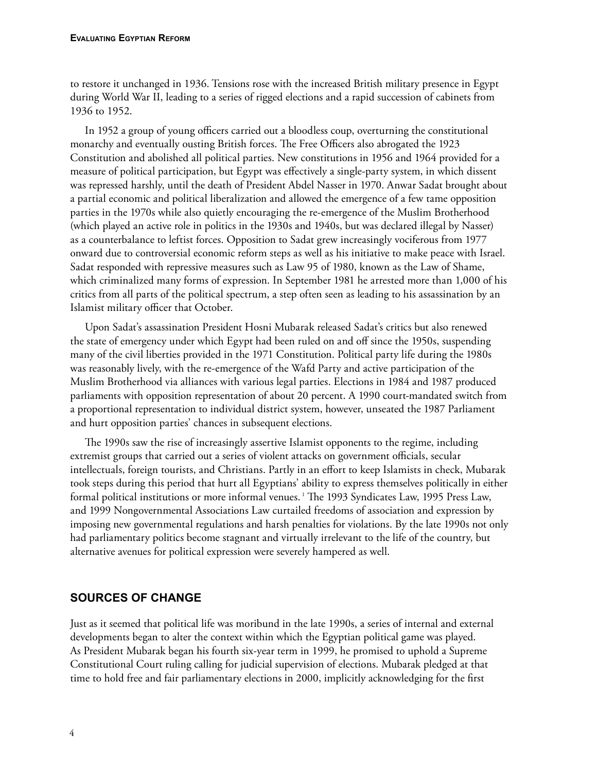to restore it unchanged in 1936. Tensions rose with the increased British military presence in Egypt during World War II, leading to a series of rigged elections and a rapid succession of cabinets from 1936 to 1952.

In 1952 a group of young officers carried out a bloodless coup, overturning the constitutional monarchy and eventually ousting British forces. The Free Officers also abrogated the 1923 Constitution and abolished all political parties. New constitutions in 1956 and 1964 provided for a measure of political participation, but Egypt was effectively a single-party system, in which dissent was repressed harshly, until the death of President Abdel Nasser in 1970. Anwar Sadat brought about a partial economic and political liberalization and allowed the emergence of a few tame opposition parties in the 1970s while also quietly encouraging the re-emergence of the Muslim Brotherhood (which played an active role in politics in the 1930s and 1940s, but was declared illegal by Nasser) as a counterbalance to leftist forces. Opposition to Sadat grew increasingly vociferous from 1977 onward due to controversial economic reform steps as well as his initiative to make peace with Israel. Sadat responded with repressive measures such as Law 95 of 1980, known as the Law of Shame, which criminalized many forms of expression. In September 1981 he arrested more than 1,000 of his critics from all parts of the political spectrum, a step often seen as leading to his assassination by an Islamist military officer that October.

Upon Sadat's assassination President Hosni Mubarak released Sadat's critics but also renewed the state of emergency under which Egypt had been ruled on and off since the 1950s, suspending many of the civil liberties provided in the 1971 Constitution. Political party life during the 1980s was reasonably lively, with the re-emergence of the Wafd Party and active participation of the Muslim Brotherhood via alliances with various legal parties. Elections in 1984 and 1987 produced parliaments with opposition representation of about 20 percent. A 1990 court-mandated switch from a proportional representation to individual district system, however, unseated the 1987 Parliament and hurt opposition parties' chances in subsequent elections.

The 1990s saw the rise of increasingly assertive Islamist opponents to the regime, including extremist groups that carried out a series of violent attacks on government officials, secular intellectuals, foreign tourists, and Christians. Partly in an effort to keep Islamists in check, Mubarak took steps during this period that hurt all Egyptians' ability to express themselves politically in either formal political institutions or more informal venues. 1 The 1993 Syndicates Law, 1995 Press Law, and 1999 Nongovernmental Associations Law curtailed freedoms of association and expression by imposing new governmental regulations and harsh penalties for violations. By the late 1990s not only had parliamentary politics become stagnant and virtually irrelevant to the life of the country, but alternative avenues for political expression were severely hampered as well.

# **Sources of Change**

Just as it seemed that political life was moribund in the late 1990s, a series of internal and external developments began to alter the context within which the Egyptian political game was played. As President Mubarak began his fourth six-year term in 1999, he promised to uphold a Supreme Constitutional Court ruling calling for judicial supervision of elections. Mubarak pledged at that time to hold free and fair parliamentary elections in 2000, implicitly acknowledging for the first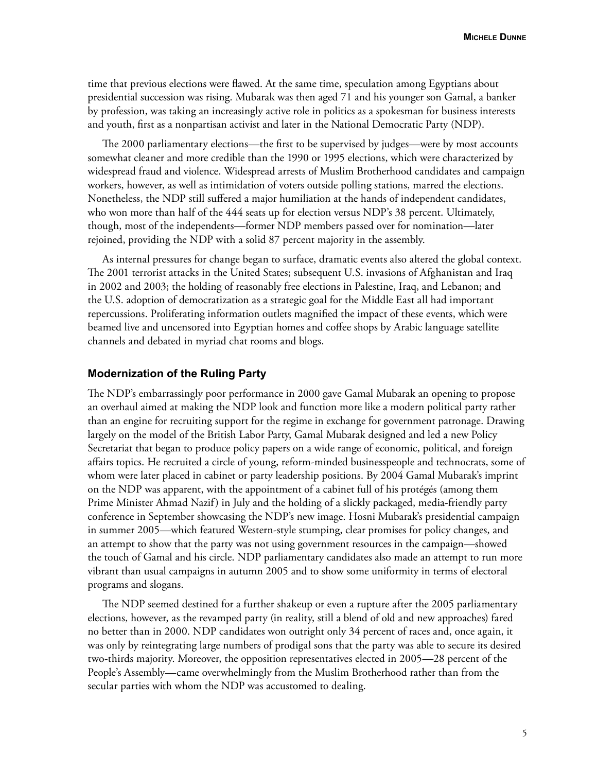time that previous elections were flawed. At the same time, speculation among Egyptians about presidential succession was rising. Mubarak was then aged 71 and his younger son Gamal, a banker by profession, was taking an increasingly active role in politics as a spokesman for business interests and youth, first as a nonpartisan activist and later in the National Democratic Party (NDP).

The 2000 parliamentary elections—the first to be supervised by judges—were by most accounts somewhat cleaner and more credible than the 1990 or 1995 elections, which were characterized by widespread fraud and violence. Widespread arrests of Muslim Brotherhood candidates and campaign workers, however, as well as intimidation of voters outside polling stations, marred the elections. Nonetheless, the NDP still suffered a major humiliation at the hands of independent candidates, who won more than half of the 444 seats up for election versus NDP's 38 percent. Ultimately, though, most of the independents—former NDP members passed over for nomination—later rejoined, providing the NDP with a solid 87 percent majority in the assembly.

As internal pressures for change began to surface, dramatic events also altered the global context. The 2001 terrorist attacks in the United States; subsequent U.S. invasions of Afghanistan and Iraq in 2002 and 2003; the holding of reasonably free elections in Palestine, Iraq, and Lebanon; and the U.S. adoption of democratization as a strategic goal for the Middle East all had important repercussions. Proliferating information outlets magnified the impact of these events, which were beamed live and uncensored into Egyptian homes and coffee shops by Arabic language satellite channels and debated in myriad chat rooms and blogs.

### **Modernization of the Ruling Party**

The NDP's embarrassingly poor performance in 2000 gave Gamal Mubarak an opening to propose an overhaul aimed at making the NDP look and function more like a modern political party rather than an engine for recruiting support for the regime in exchange for government patronage. Drawing largely on the model of the British Labor Party, Gamal Mubarak designed and led a new Policy Secretariat that began to produce policy papers on a wide range of economic, political, and foreign affairs topics. He recruited a circle of young, reform-minded businesspeople and technocrats, some of whom were later placed in cabinet or party leadership positions. By 2004 Gamal Mubarak's imprint on the NDP was apparent, with the appointment of a cabinet full of his protégés (among them Prime Minister Ahmad Nazif) in July and the holding of a slickly packaged, media-friendly party conference in September showcasing the NDP's new image. Hosni Mubarak's presidential campaign in summer 2005—which featured Western-style stumping, clear promises for policy changes, and an attempt to show that the party was not using government resources in the campaign—showed the touch of Gamal and his circle. NDP parliamentary candidates also made an attempt to run more vibrant than usual campaigns in autumn 2005 and to show some uniformity in terms of electoral programs and slogans.

The NDP seemed destined for a further shakeup or even a rupture after the 2005 parliamentary elections, however, as the revamped party (in reality, still a blend of old and new approaches) fared no better than in 2000. NDP candidates won outright only 34 percent of races and, once again, it was only by reintegrating large numbers of prodigal sons that the party was able to secure its desired two-thirds majority. Moreover, the opposition representatives elected in 2005—28 percent of the People's Assembly—came overwhelmingly from the Muslim Brotherhood rather than from the secular parties with whom the NDP was accustomed to dealing.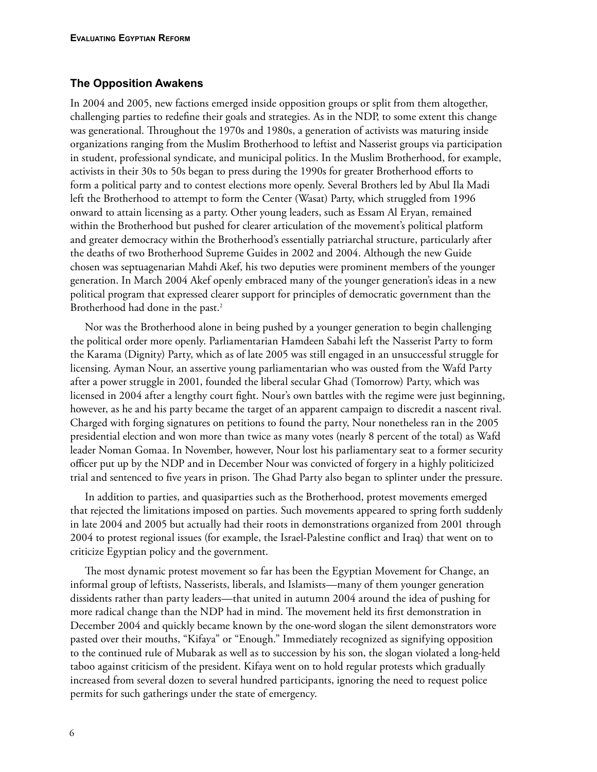### **The Opposition Awakens**

In 2004 and 2005, new factions emerged inside opposition groups or split from them altogether, challenging parties to redefine their goals and strategies. As in the NDP, to some extent this change was generational. Throughout the 1970s and 1980s, a generation of activists was maturing inside organizations ranging from the Muslim Brotherhood to leftist and Nasserist groups via participation in student, professional syndicate, and municipal politics. In the Muslim Brotherhood, for example, activists in their 30s to 50s began to press during the 1990s for greater Brotherhood efforts to form a political party and to contest elections more openly. Several Brothers led by Abul Ila Madi left the Brotherhood to attempt to form the Center (Wasat) Party, which struggled from 1996 onward to attain licensing as a party. Other young leaders, such as Essam Al Eryan, remained within the Brotherhood but pushed for clearer articulation of the movement's political platform and greater democracy within the Brotherhood's essentially patriarchal structure, particularly after the deaths of two Brotherhood Supreme Guides in 2002 and 2004. Although the new Guide chosen was septuagenarian Mahdi Akef, his two deputies were prominent members of the younger generation. In March 2004 Akef openly embraced many of the younger generation's ideas in a new political program that expressed clearer support for principles of democratic government than the Brotherhood had done in the past.<sup>2</sup>

Nor was the Brotherhood alone in being pushed by a younger generation to begin challenging the political order more openly. Parliamentarian Hamdeen Sabahi left the Nasserist Party to form the Karama (Dignity) Party, which as of late 2005 was still engaged in an unsuccessful struggle for licensing. Ayman Nour, an assertive young parliamentarian who was ousted from the Wafd Party after a power struggle in 2001, founded the liberal secular Ghad (Tomorrow) Party, which was licensed in 2004 after a lengthy court fight. Nour's own battles with the regime were just beginning, however, as he and his party became the target of an apparent campaign to discredit a nascent rival. Charged with forging signatures on petitions to found the party, Nour nonetheless ran in the 2005 presidential election and won more than twice as many votes (nearly 8 percent of the total) as Wafd leader Noman Gomaa. In November, however, Nour lost his parliamentary seat to a former security officer put up by the NDP and in December Nour was convicted of forgery in a highly politicized trial and sentenced to five years in prison. The Ghad Party also began to splinter under the pressure.

In addition to parties, and quasiparties such as the Brotherhood, protest movements emerged that rejected the limitations imposed on parties. Such movements appeared to spring forth suddenly in late 2004 and 2005 but actually had their roots in demonstrations organized from 2001 through 2004 to protest regional issues (for example, the Israel-Palestine conflict and Iraq) that went on to criticize Egyptian policy and the government.

The most dynamic protest movement so far has been the Egyptian Movement for Change, an informal group of leftists, Nasserists, liberals, and Islamists—many of them younger generation dissidents rather than party leaders—that united in autumn 2004 around the idea of pushing for more radical change than the NDP had in mind. The movement held its first demonstration in December 2004 and quickly became known by the one-word slogan the silent demonstrators wore pasted over their mouths, "Kifaya" or "Enough." Immediately recognized as signifying opposition to the continued rule of Mubarak as well as to succession by his son, the slogan violated a long-held taboo against criticism of the president. Kifaya went on to hold regular protests which gradually increased from several dozen to several hundred participants, ignoring the need to request police permits for such gatherings under the state of emergency.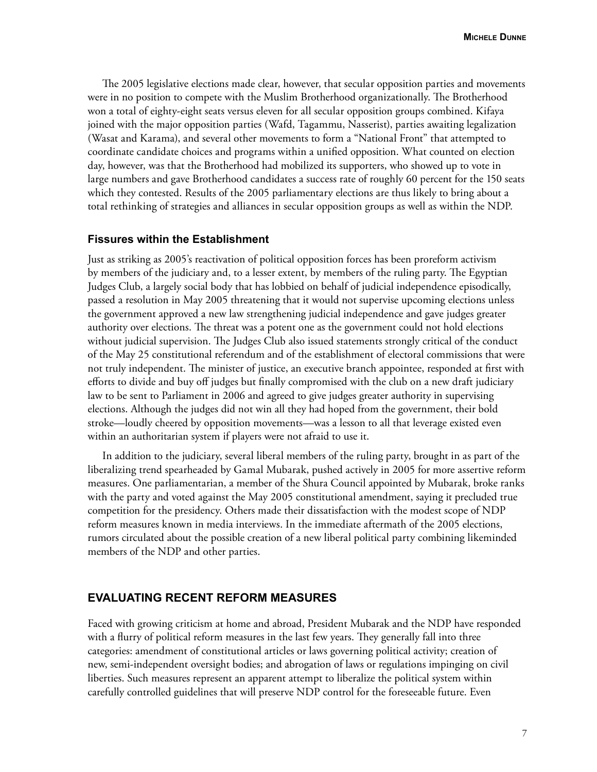The 2005 legislative elections made clear, however, that secular opposition parties and movements were in no position to compete with the Muslim Brotherhood organizationally. The Brotherhood won a total of eighty-eight seats versus eleven for all secular opposition groups combined. Kifaya joined with the major opposition parties (Wafd, Tagammu, Nasserist), parties awaiting legalization (Wasat and Karama), and several other movements to form a "National Front" that attempted to coordinate candidate choices and programs within a unified opposition. What counted on election day, however, was that the Brotherhood had mobilized its supporters, who showed up to vote in large numbers and gave Brotherhood candidates a success rate of roughly 60 percent for the 150 seats which they contested. Results of the 2005 parliamentary elections are thus likely to bring about a total rethinking of strategies and alliances in secular opposition groups as well as within the NDP.

### **Fissures within the Establishment**

Just as striking as 2005's reactivation of political opposition forces has been proreform activism by members of the judiciary and, to a lesser extent, by members of the ruling party. The Egyptian Judges Club, a largely social body that has lobbied on behalf of judicial independence episodically, passed a resolution in May 2005 threatening that it would not supervise upcoming elections unless the government approved a new law strengthening judicial independence and gave judges greater authority over elections. The threat was a potent one as the government could not hold elections without judicial supervision. The Judges Club also issued statements strongly critical of the conduct of the May 25 constitutional referendum and of the establishment of electoral commissions that were not truly independent. The minister of justice, an executive branch appointee, responded at first with efforts to divide and buy off judges but finally compromised with the club on a new draft judiciary law to be sent to Parliament in 2006 and agreed to give judges greater authority in supervising elections. Although the judges did not win all they had hoped from the government, their bold stroke—loudly cheered by opposition movements—was a lesson to all that leverage existed even within an authoritarian system if players were not afraid to use it.

In addition to the judiciary, several liberal members of the ruling party, brought in as part of the liberalizing trend spearheaded by Gamal Mubarak, pushed actively in 2005 for more assertive reform measures. One parliamentarian, a member of the Shura Council appointed by Mubarak, broke ranks with the party and voted against the May 2005 constitutional amendment, saying it precluded true competition for the presidency. Others made their dissatisfaction with the modest scope of NDP reform measures known in media interviews. In the immediate aftermath of the 2005 elections, rumors circulated about the possible creation of a new liberal political party combining likeminded members of the NDP and other parties.

### **Evaluating Recent Reform Measures**

Faced with growing criticism at home and abroad, President Mubarak and the NDP have responded with a flurry of political reform measures in the last few years. They generally fall into three categories: amendment of constitutional articles or laws governing political activity; creation of new, semi-independent oversight bodies; and abrogation of laws or regulations impinging on civil liberties. Such measures represent an apparent attempt to liberalize the political system within carefully controlled guidelines that will preserve NDP control for the foreseeable future. Even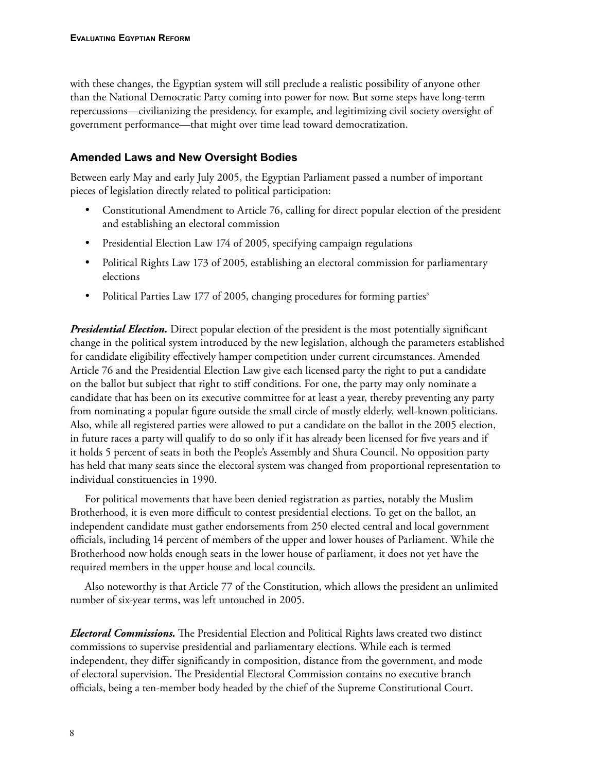with these changes, the Egyptian system will still preclude a realistic possibility of anyone other than the National Democratic Party coming into power for now. But some steps have long-term repercussions—civilianizing the presidency, for example, and legitimizing civil society oversight of government performance—that might over time lead toward democratization.

# **Amended Laws and New Oversight Bodies**

Between early May and early July 2005, the Egyptian Parliament passed a number of important pieces of legislation directly related to political participation:

- Constitutional Amendment to Article 76, calling for direct popular election of the president and establishing an electoral commission
- Presidential Election Law 174 of 2005, specifying campaign regulations
- Political Rights Law 173 of 2005, establishing an electoral commission for parliamentary elections
- Political Parties Law 177 of 2005, changing procedures for forming parties<sup>3</sup>

*Presidential Election.* Direct popular election of the president is the most potentially significant change in the political system introduced by the new legislation, although the parameters established for candidate eligibility effectively hamper competition under current circumstances. Amended Article 76 and the Presidential Election Law give each licensed party the right to put a candidate on the ballot but subject that right to stiff conditions. For one, the party may only nominate a candidate that has been on its executive committee for at least a year, thereby preventing any party from nominating a popular figure outside the small circle of mostly elderly, well-known politicians. Also, while all registered parties were allowed to put a candidate on the ballot in the 2005 election, in future races a party will qualify to do so only if it has already been licensed for five years and if it holds 5 percent of seats in both the People's Assembly and Shura Council. No opposition party has held that many seats since the electoral system was changed from proportional representation to individual constituencies in 1990.

For political movements that have been denied registration as parties, notably the Muslim Brotherhood, it is even more difficult to contest presidential elections. To get on the ballot, an independent candidate must gather endorsements from 250 elected central and local government officials, including 14 percent of members of the upper and lower houses of Parliament. While the Brotherhood now holds enough seats in the lower house of parliament, it does not yet have the required members in the upper house and local councils.

Also noteworthy is that Article 77 of the Constitution, which allows the president an unlimited number of six-year terms, was left untouched in 2005.

*Electoral Commissions.* The Presidential Election and Political Rights laws created two distinct commissions to supervise presidential and parliamentary elections. While each is termed independent, they differ significantly in composition, distance from the government, and mode of electoral supervision. The Presidential Electoral Commission contains no executive branch officials, being a ten-member body headed by the chief of the Supreme Constitutional Court.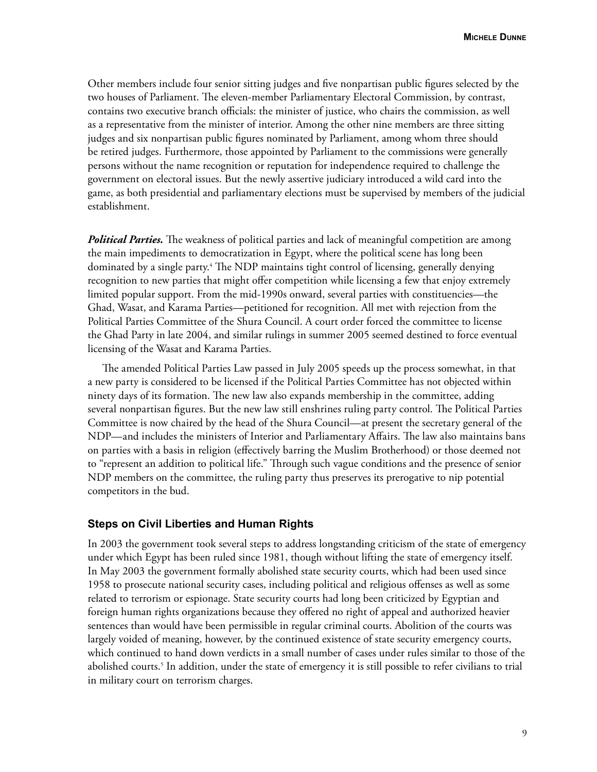Other members include four senior sitting judges and five nonpartisan public figures selected by the two houses of Parliament. The eleven-member Parliamentary Electoral Commission, by contrast, contains two executive branch officials: the minister of justice, who chairs the commission, as well as a representative from the minister of interior. Among the other nine members are three sitting judges and six nonpartisan public figures nominated by Parliament, among whom three should be retired judges. Furthermore, those appointed by Parliament to the commissions were generally persons without the name recognition or reputation for independence required to challenge the government on electoral issues. But the newly assertive judiciary introduced a wild card into the game, as both presidential and parliamentary elections must be supervised by members of the judicial establishment.

*Political Parties.* The weakness of political parties and lack of meaningful competition are among the main impediments to democratization in Egypt, where the political scene has long been dominated by a single party.<sup>4</sup> The NDP maintains tight control of licensing, generally denying recognition to new parties that might offer competition while licensing a few that enjoy extremely limited popular support. From the mid-1990s onward, several parties with constituencies—the Ghad, Wasat, and Karama Parties—petitioned for recognition. All met with rejection from the Political Parties Committee of the Shura Council. A court order forced the committee to license the Ghad Party in late 2004, and similar rulings in summer 2005 seemed destined to force eventual licensing of the Wasat and Karama Parties.

The amended Political Parties Law passed in July 2005 speeds up the process somewhat, in that a new party is considered to be licensed if the Political Parties Committee has not objected within ninety days of its formation. The new law also expands membership in the committee, adding several nonpartisan figures. But the new law still enshrines ruling party control. The Political Parties Committee is now chaired by the head of the Shura Council—at present the secretary general of the NDP—and includes the ministers of Interior and Parliamentary Affairs. The law also maintains bans on parties with a basis in religion (effectively barring the Muslim Brotherhood) or those deemed not to "represent an addition to political life." Through such vague conditions and the presence of senior NDP members on the committee, the ruling party thus preserves its prerogative to nip potential competitors in the bud.

### **Steps on Civil Liberties and Human Rights**

In 2003 the government took several steps to address longstanding criticism of the state of emergency under which Egypt has been ruled since 1981, though without lifting the state of emergency itself. In May 2003 the government formally abolished state security courts, which had been used since 1958 to prosecute national security cases, including political and religious offenses as well as some related to terrorism or espionage. State security courts had long been criticized by Egyptian and foreign human rights organizations because they offered no right of appeal and authorized heavier sentences than would have been permissible in regular criminal courts. Abolition of the courts was largely voided of meaning, however, by the continued existence of state security emergency courts, which continued to hand down verdicts in a small number of cases under rules similar to those of the abolished courts.<sup>5</sup> In addition, under the state of emergency it is still possible to refer civilians to trial in military court on terrorism charges.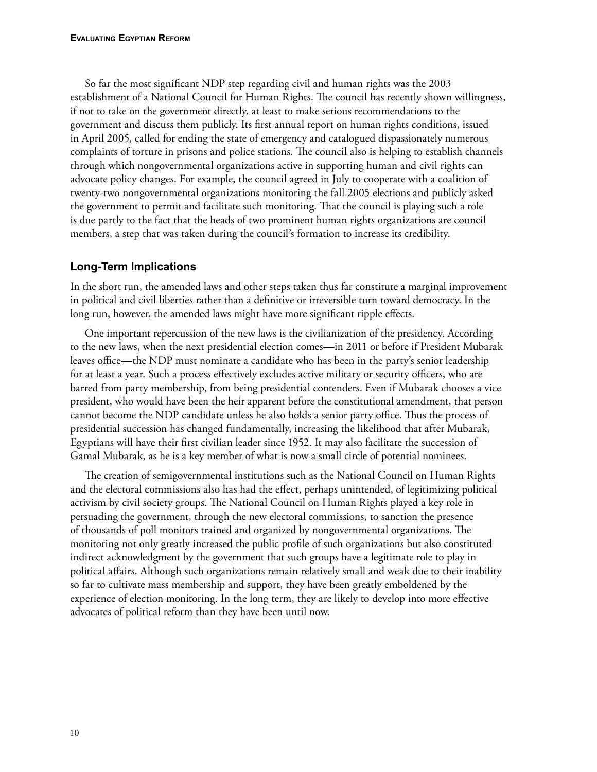So far the most significant NDP step regarding civil and human rights was the 2003 establishment of a National Council for Human Rights. The council has recently shown willingness, if not to take on the government directly, at least to make serious recommendations to the government and discuss them publicly. Its first annual report on human rights conditions, issued in April 2005, called for ending the state of emergency and catalogued dispassionately numerous complaints of torture in prisons and police stations. The council also is helping to establish channels through which nongovernmental organizations active in supporting human and civil rights can advocate policy changes. For example, the council agreed in July to cooperate with a coalition of twenty-two nongovernmental organizations monitoring the fall 2005 elections and publicly asked the government to permit and facilitate such monitoring. That the council is playing such a role is due partly to the fact that the heads of two prominent human rights organizations are council members, a step that was taken during the council's formation to increase its credibility.

# **Long-Term Implications**

In the short run, the amended laws and other steps taken thus far constitute a marginal improvement in political and civil liberties rather than a definitive or irreversible turn toward democracy. In the long run, however, the amended laws might have more significant ripple effects.

One important repercussion of the new laws is the civilianization of the presidency. According to the new laws, when the next presidential election comes—in 2011 or before if President Mubarak leaves office—the NDP must nominate a candidate who has been in the party's senior leadership for at least a year. Such a process effectively excludes active military or security officers, who are barred from party membership, from being presidential contenders. Even if Mubarak chooses a vice president, who would have been the heir apparent before the constitutional amendment, that person cannot become the NDP candidate unless he also holds a senior party office. Thus the process of presidential succession has changed fundamentally, increasing the likelihood that after Mubarak, Egyptians will have their first civilian leader since 1952. It may also facilitate the succession of Gamal Mubarak, as he is a key member of what is now a small circle of potential nominees.

The creation of semigovernmental institutions such as the National Council on Human Rights and the electoral commissions also has had the effect, perhaps unintended, of legitimizing political activism by civil society groups. The National Council on Human Rights played a key role in persuading the government, through the new electoral commissions, to sanction the presence of thousands of poll monitors trained and organized by nongovernmental organizations. The monitoring not only greatly increased the public profile of such organizations but also constituted indirect acknowledgment by the government that such groups have a legitimate role to play in political affairs. Although such organizations remain relatively small and weak due to their inability so far to cultivate mass membership and support, they have been greatly emboldened by the experience of election monitoring. In the long term, they are likely to develop into more effective advocates of political reform than they have been until now.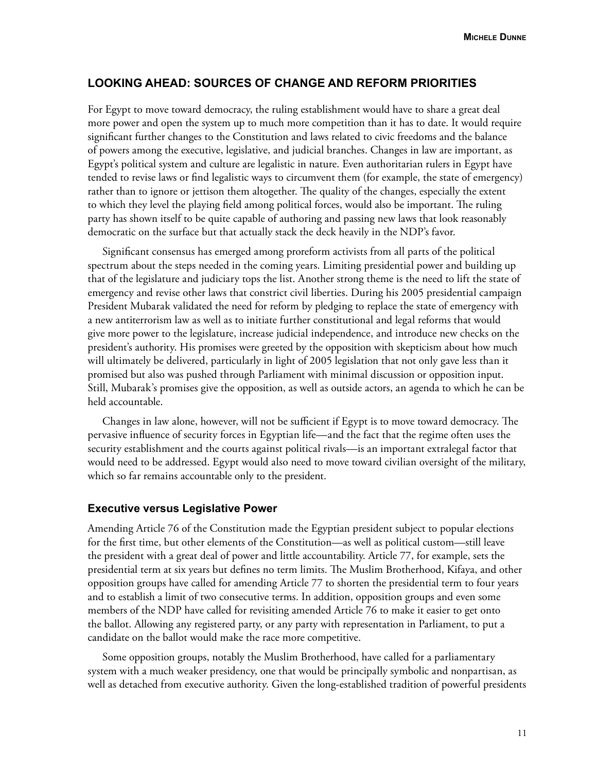### **Looking Ahead: Sources of Change and Reform Priorities**

For Egypt to move toward democracy, the ruling establishment would have to share a great deal more power and open the system up to much more competition than it has to date. It would require significant further changes to the Constitution and laws related to civic freedoms and the balance of powers among the executive, legislative, and judicial branches. Changes in law are important, as Egypt's political system and culture are legalistic in nature. Even authoritarian rulers in Egypt have tended to revise laws or find legalistic ways to circumvent them (for example, the state of emergency) rather than to ignore or jettison them altogether. The quality of the changes, especially the extent to which they level the playing field among political forces, would also be important. The ruling party has shown itself to be quite capable of authoring and passing new laws that look reasonably democratic on the surface but that actually stack the deck heavily in the NDP's favor.

Significant consensus has emerged among proreform activists from all parts of the political spectrum about the steps needed in the coming years. Limiting presidential power and building up that of the legislature and judiciary tops the list. Another strong theme is the need to lift the state of emergency and revise other laws that constrict civil liberties. During his 2005 presidential campaign President Mubarak validated the need for reform by pledging to replace the state of emergency with a new antiterrorism law as well as to initiate further constitutional and legal reforms that would give more power to the legislature, increase judicial independence, and introduce new checks on the president's authority. His promises were greeted by the opposition with skepticism about how much will ultimately be delivered, particularly in light of 2005 legislation that not only gave less than it promised but also was pushed through Parliament with minimal discussion or opposition input. Still, Mubarak's promises give the opposition, as well as outside actors, an agenda to which he can be held accountable.

Changes in law alone, however, will not be sufficient if Egypt is to move toward democracy. The pervasive influence of security forces in Egyptian life—and the fact that the regime often uses the security establishment and the courts against political rivals—is an important extralegal factor that would need to be addressed. Egypt would also need to move toward civilian oversight of the military, which so far remains accountable only to the president.

#### **Executive versus Legislative Power**

Amending Article 76 of the Constitution made the Egyptian president subject to popular elections for the first time, but other elements of the Constitution—as well as political custom—still leave the president with a great deal of power and little accountability. Article 77, for example, sets the presidential term at six years but defines no term limits. The Muslim Brotherhood, Kifaya, and other opposition groups have called for amending Article 77 to shorten the presidential term to four years and to establish a limit of two consecutive terms. In addition, opposition groups and even some members of the NDP have called for revisiting amended Article 76 to make it easier to get onto the ballot. Allowing any registered party, or any party with representation in Parliament, to put a candidate on the ballot would make the race more competitive.

Some opposition groups, notably the Muslim Brotherhood, have called for a parliamentary system with a much weaker presidency, one that would be principally symbolic and nonpartisan, as well as detached from executive authority. Given the long-established tradition of powerful presidents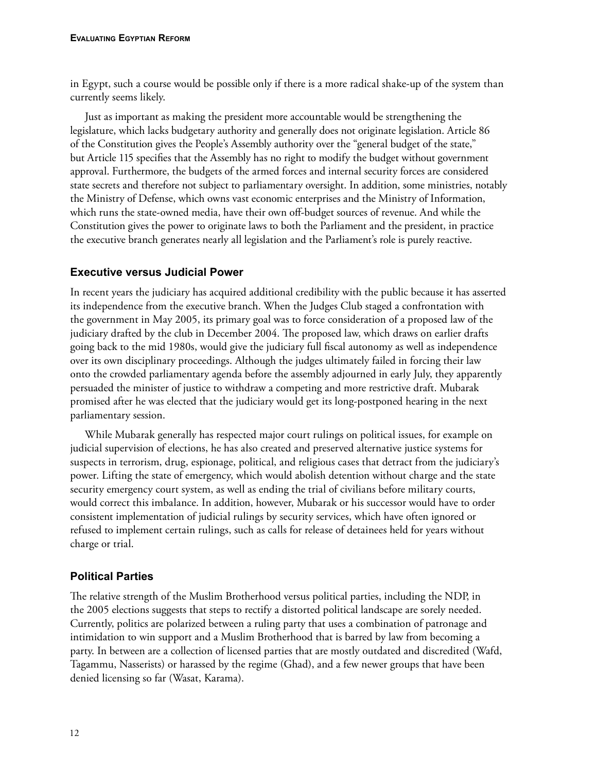in Egypt, such a course would be possible only if there is a more radical shake-up of the system than currently seems likely.

Just as important as making the president more accountable would be strengthening the legislature, which lacks budgetary authority and generally does not originate legislation. Article 86 of the Constitution gives the People's Assembly authority over the "general budget of the state," but Article 115 specifies that the Assembly has no right to modify the budget without government approval. Furthermore, the budgets of the armed forces and internal security forces are considered state secrets and therefore not subject to parliamentary oversight. In addition, some ministries, notably the Ministry of Defense, which owns vast economic enterprises and the Ministry of Information, which runs the state-owned media, have their own off-budget sources of revenue. And while the Constitution gives the power to originate laws to both the Parliament and the president, in practice the executive branch generates nearly all legislation and the Parliament's role is purely reactive.

# **Executive versus Judicial Power**

In recent years the judiciary has acquired additional credibility with the public because it has asserted its independence from the executive branch. When the Judges Club staged a confrontation with the government in May 2005, its primary goal was to force consideration of a proposed law of the judiciary drafted by the club in December 2004. The proposed law, which draws on earlier drafts going back to the mid 1980s, would give the judiciary full fiscal autonomy as well as independence over its own disciplinary proceedings. Although the judges ultimately failed in forcing their law onto the crowded parliamentary agenda before the assembly adjourned in early July, they apparently persuaded the minister of justice to withdraw a competing and more restrictive draft. Mubarak promised after he was elected that the judiciary would get its long-postponed hearing in the next parliamentary session.

While Mubarak generally has respected major court rulings on political issues, for example on judicial supervision of elections, he has also created and preserved alternative justice systems for suspects in terrorism, drug, espionage, political, and religious cases that detract from the judiciary's power. Lifting the state of emergency, which would abolish detention without charge and the state security emergency court system, as well as ending the trial of civilians before military courts, would correct this imbalance. In addition, however, Mubarak or his successor would have to order consistent implementation of judicial rulings by security services, which have often ignored or refused to implement certain rulings, such as calls for release of detainees held for years without charge or trial.

# **Political Parties**

The relative strength of the Muslim Brotherhood versus political parties, including the NDP, in the 2005 elections suggests that steps to rectify a distorted political landscape are sorely needed. Currently, politics are polarized between a ruling party that uses a combination of patronage and intimidation to win support and a Muslim Brotherhood that is barred by law from becoming a party. In between are a collection of licensed parties that are mostly outdated and discredited (Wafd, Tagammu, Nasserists) or harassed by the regime (Ghad), and a few newer groups that have been denied licensing so far (Wasat, Karama).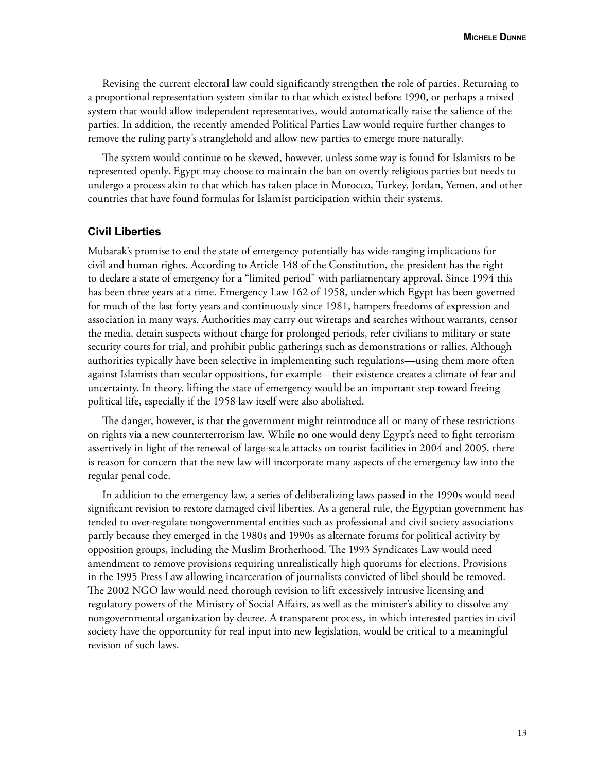Revising the current electoral law could significantly strengthen the role of parties. Returning to a proportional representation system similar to that which existed before 1990, or perhaps a mixed system that would allow independent representatives, would automatically raise the salience of the parties. In addition, the recently amended Political Parties Law would require further changes to remove the ruling party's stranglehold and allow new parties to emerge more naturally.

The system would continue to be skewed, however, unless some way is found for Islamists to be represented openly. Egypt may choose to maintain the ban on overtly religious parties but needs to undergo a process akin to that which has taken place in Morocco, Turkey, Jordan, Yemen, and other countries that have found formulas for Islamist participation within their systems.

#### **Civil Liberties**

Mubarak's promise to end the state of emergency potentially has wide-ranging implications for civil and human rights. According to Article 148 of the Constitution, the president has the right to declare a state of emergency for a "limited period" with parliamentary approval. Since 1994 this has been three years at a time. Emergency Law 162 of 1958, under which Egypt has been governed for much of the last forty years and continuously since 1981, hampers freedoms of expression and association in many ways. Authorities may carry out wiretaps and searches without warrants, censor the media, detain suspects without charge for prolonged periods, refer civilians to military or state security courts for trial, and prohibit public gatherings such as demonstrations or rallies. Although authorities typically have been selective in implementing such regulations—using them more often against Islamists than secular oppositions, for example—their existence creates a climate of fear and uncertainty. In theory, lifting the state of emergency would be an important step toward freeing political life, especially if the 1958 law itself were also abolished.

The danger, however, is that the government might reintroduce all or many of these restrictions on rights via a new counterterrorism law. While no one would deny Egypt's need to fight terrorism assertively in light of the renewal of large-scale attacks on tourist facilities in 2004 and 2005, there is reason for concern that the new law will incorporate many aspects of the emergency law into the regular penal code.

In addition to the emergency law, a series of deliberalizing laws passed in the 1990s would need significant revision to restore damaged civil liberties. As a general rule, the Egyptian government has tended to over-regulate nongovernmental entities such as professional and civil society associations partly because they emerged in the 1980s and 1990s as alternate forums for political activity by opposition groups, including the Muslim Brotherhood. The 1993 Syndicates Law would need amendment to remove provisions requiring unrealistically high quorums for elections. Provisions in the 1995 Press Law allowing incarceration of journalists convicted of libel should be removed. The 2002 NGO law would need thorough revision to lift excessively intrusive licensing and regulatory powers of the Ministry of Social Affairs, as well as the minister's ability to dissolve any nongovernmental organization by decree. A transparent process, in which interested parties in civil society have the opportunity for real input into new legislation, would be critical to a meaningful revision of such laws.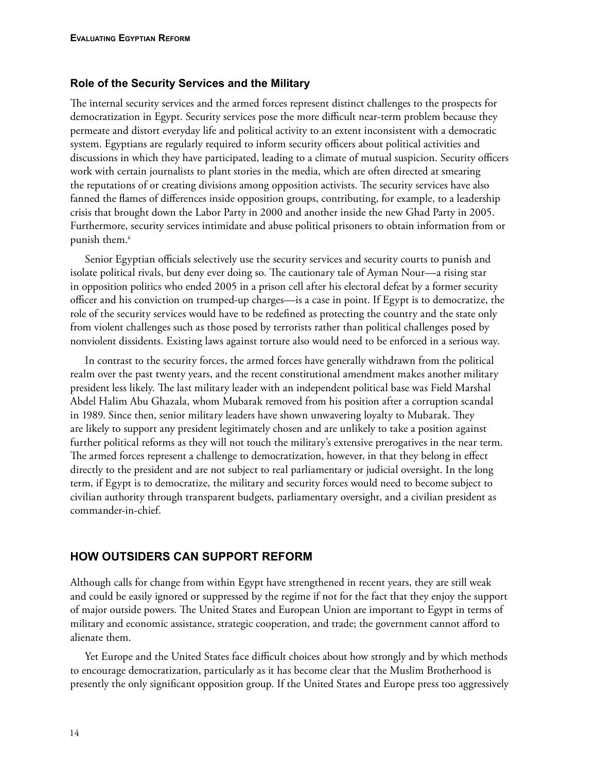### **Role of the Security Services and the Military**

The internal security services and the armed forces represent distinct challenges to the prospects for democratization in Egypt. Security services pose the more difficult near-term problem because they permeate and distort everyday life and political activity to an extent inconsistent with a democratic system. Egyptians are regularly required to inform security officers about political activities and discussions in which they have participated, leading to a climate of mutual suspicion. Security officers work with certain journalists to plant stories in the media, which are often directed at smearing the reputations of or creating divisions among opposition activists. The security services have also fanned the flames of differences inside opposition groups, contributing, for example, to a leadership crisis that brought down the Labor Party in 2000 and another inside the new Ghad Party in 2005. Furthermore, security services intimidate and abuse political prisoners to obtain information from or punish them.<sup>6</sup>

Senior Egyptian officials selectively use the security services and security courts to punish and isolate political rivals, but deny ever doing so. The cautionary tale of Ayman Nour—a rising star in opposition politics who ended 2005 in a prison cell after his electoral defeat by a former security officer and his conviction on trumped-up charges—is a case in point. If Egypt is to democratize, the role of the security services would have to be redefined as protecting the country and the state only from violent challenges such as those posed by terrorists rather than political challenges posed by nonviolent dissidents. Existing laws against torture also would need to be enforced in a serious way.

In contrast to the security forces, the armed forces have generally withdrawn from the political realm over the past twenty years, and the recent constitutional amendment makes another military president less likely. The last military leader with an independent political base was Field Marshal Abdel Halim Abu Ghazala, whom Mubarak removed from his position after a corruption scandal in 1989. Since then, senior military leaders have shown unwavering loyalty to Mubarak. They are likely to support any president legitimately chosen and are unlikely to take a position against further political reforms as they will not touch the military's extensive prerogatives in the near term. The armed forces represent a challenge to democratization, however, in that they belong in effect directly to the president and are not subject to real parliamentary or judicial oversight. In the long term, if Egypt is to democratize, the military and security forces would need to become subject to civilian authority through transparent budgets, parliamentary oversight, and a civilian president as commander-in-chief.

# **How Outsiders Can Support Reform**

Although calls for change from within Egypt have strengthened in recent years, they are still weak and could be easily ignored or suppressed by the regime if not for the fact that they enjoy the support of major outside powers. The United States and European Union are important to Egypt in terms of military and economic assistance, strategic cooperation, and trade; the government cannot afford to alienate them.

Yet Europe and the United States face difficult choices about how strongly and by which methods to encourage democratization, particularly as it has become clear that the Muslim Brotherhood is presently the only significant opposition group. If the United States and Europe press too aggressively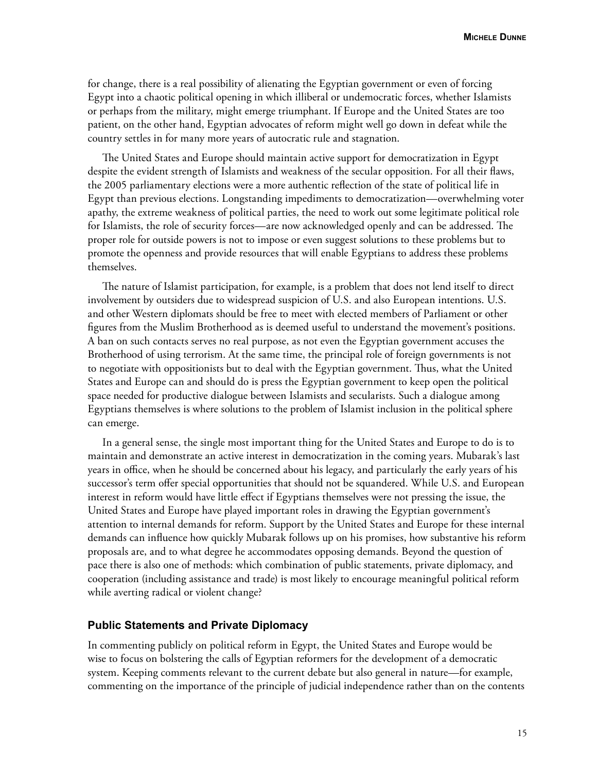for change, there is a real possibility of alienating the Egyptian government or even of forcing Egypt into a chaotic political opening in which illiberal or undemocratic forces, whether Islamists or perhaps from the military, might emerge triumphant. If Europe and the United States are too patient, on the other hand, Egyptian advocates of reform might well go down in defeat while the country settles in for many more years of autocratic rule and stagnation.

The United States and Europe should maintain active support for democratization in Egypt despite the evident strength of Islamists and weakness of the secular opposition. For all their flaws, the 2005 parliamentary elections were a more authentic reflection of the state of political life in Egypt than previous elections. Longstanding impediments to democratization—overwhelming voter apathy, the extreme weakness of political parties, the need to work out some legitimate political role for Islamists, the role of security forces—are now acknowledged openly and can be addressed. The proper role for outside powers is not to impose or even suggest solutions to these problems but to promote the openness and provide resources that will enable Egyptians to address these problems themselves.

The nature of Islamist participation, for example, is a problem that does not lend itself to direct involvement by outsiders due to widespread suspicion of U.S. and also European intentions. U.S. and other Western diplomats should be free to meet with elected members of Parliament or other figures from the Muslim Brotherhood as is deemed useful to understand the movement's positions. A ban on such contacts serves no real purpose, as not even the Egyptian government accuses the Brotherhood of using terrorism. At the same time, the principal role of foreign governments is not to negotiate with oppositionists but to deal with the Egyptian government. Thus, what the United States and Europe can and should do is press the Egyptian government to keep open the political space needed for productive dialogue between Islamists and secularists. Such a dialogue among Egyptians themselves is where solutions to the problem of Islamist inclusion in the political sphere can emerge.

In a general sense, the single most important thing for the United States and Europe to do is to maintain and demonstrate an active interest in democratization in the coming years. Mubarak's last years in office, when he should be concerned about his legacy, and particularly the early years of his successor's term offer special opportunities that should not be squandered. While U.S. and European interest in reform would have little effect if Egyptians themselves were not pressing the issue, the United States and Europe have played important roles in drawing the Egyptian government's attention to internal demands for reform. Support by the United States and Europe for these internal demands can influence how quickly Mubarak follows up on his promises, how substantive his reform proposals are, and to what degree he accommodates opposing demands. Beyond the question of pace there is also one of methods: which combination of public statements, private diplomacy, and cooperation (including assistance and trade) is most likely to encourage meaningful political reform while averting radical or violent change?

### **Public Statements and Private Diplomacy**

In commenting publicly on political reform in Egypt, the United States and Europe would be wise to focus on bolstering the calls of Egyptian reformers for the development of a democratic system. Keeping comments relevant to the current debate but also general in nature—for example, commenting on the importance of the principle of judicial independence rather than on the contents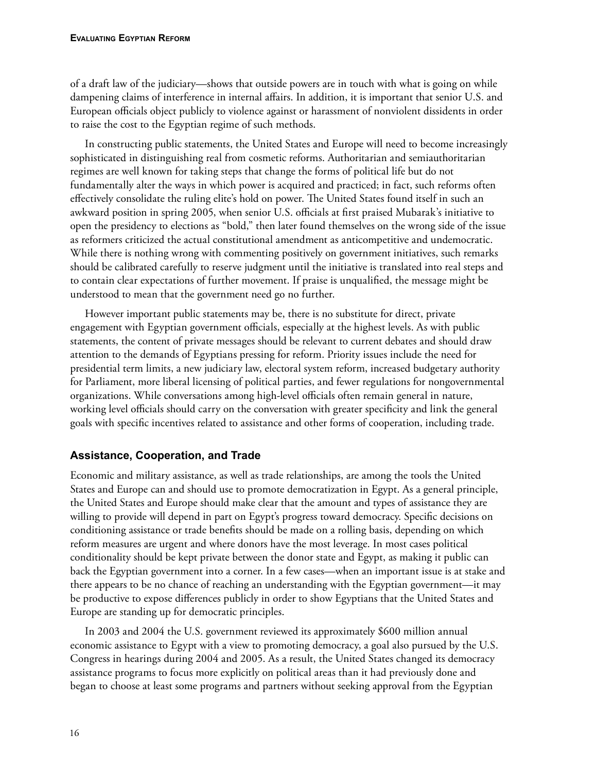of a draft law of the judiciary—shows that outside powers are in touch with what is going on while dampening claims of interference in internal affairs. In addition, it is important that senior U.S. and European officials object publicly to violence against or harassment of nonviolent dissidents in order to raise the cost to the Egyptian regime of such methods.

In constructing public statements, the United States and Europe will need to become increasingly sophisticated in distinguishing real from cosmetic reforms. Authoritarian and semiauthoritarian regimes are well known for taking steps that change the forms of political life but do not fundamentally alter the ways in which power is acquired and practiced; in fact, such reforms often effectively consolidate the ruling elite's hold on power. The United States found itself in such an awkward position in spring 2005, when senior U.S. officials at first praised Mubarak's initiative to open the presidency to elections as "bold," then later found themselves on the wrong side of the issue as reformers criticized the actual constitutional amendment as anticompetitive and undemocratic. While there is nothing wrong with commenting positively on government initiatives, such remarks should be calibrated carefully to reserve judgment until the initiative is translated into real steps and to contain clear expectations of further movement. If praise is unqualified, the message might be understood to mean that the government need go no further.

However important public statements may be, there is no substitute for direct, private engagement with Egyptian government officials, especially at the highest levels. As with public statements, the content of private messages should be relevant to current debates and should draw attention to the demands of Egyptians pressing for reform. Priority issues include the need for presidential term limits, a new judiciary law, electoral system reform, increased budgetary authority for Parliament, more liberal licensing of political parties, and fewer regulations for nongovernmental organizations. While conversations among high-level officials often remain general in nature, working level officials should carry on the conversation with greater specificity and link the general goals with specific incentives related to assistance and other forms of cooperation, including trade.

# **Assistance, Cooperation, and Trade**

Economic and military assistance, as well as trade relationships, are among the tools the United States and Europe can and should use to promote democratization in Egypt. As a general principle, the United States and Europe should make clear that the amount and types of assistance they are willing to provide will depend in part on Egypt's progress toward democracy. Specific decisions on conditioning assistance or trade benefits should be made on a rolling basis, depending on which reform measures are urgent and where donors have the most leverage. In most cases political conditionality should be kept private between the donor state and Egypt, as making it public can back the Egyptian government into a corner. In a few cases—when an important issue is at stake and there appears to be no chance of reaching an understanding with the Egyptian government—it may be productive to expose differences publicly in order to show Egyptians that the United States and Europe are standing up for democratic principles.

In 2003 and 2004 the U.S. government reviewed its approximately \$600 million annual economic assistance to Egypt with a view to promoting democracy, a goal also pursued by the U.S. Congress in hearings during 2004 and 2005. As a result, the United States changed its democracy assistance programs to focus more explicitly on political areas than it had previously done and began to choose at least some programs and partners without seeking approval from the Egyptian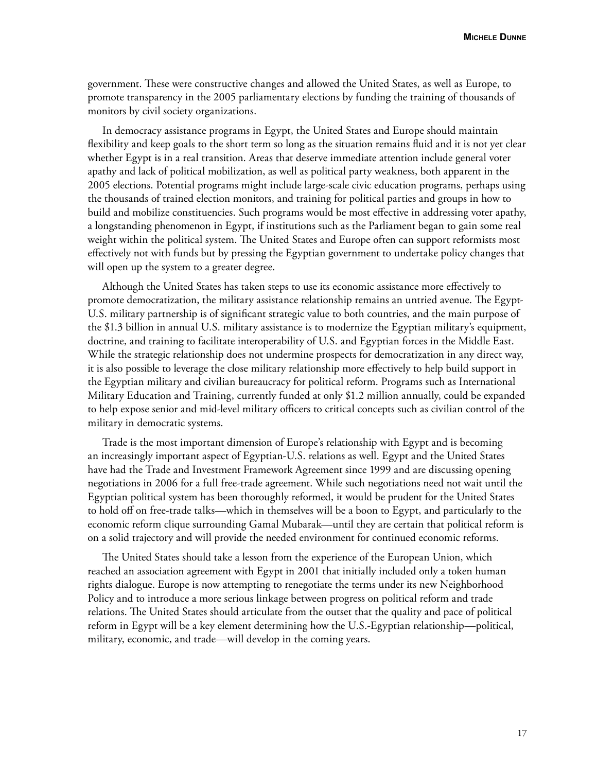government. These were constructive changes and allowed the United States, as well as Europe, to promote transparency in the 2005 parliamentary elections by funding the training of thousands of monitors by civil society organizations.

In democracy assistance programs in Egypt, the United States and Europe should maintain flexibility and keep goals to the short term so long as the situation remains fluid and it is not yet clear whether Egypt is in a real transition. Areas that deserve immediate attention include general voter apathy and lack of political mobilization, as well as political party weakness, both apparent in the 2005 elections. Potential programs might include large-scale civic education programs, perhaps using the thousands of trained election monitors, and training for political parties and groups in how to build and mobilize constituencies. Such programs would be most effective in addressing voter apathy, a longstanding phenomenon in Egypt, if institutions such as the Parliament began to gain some real weight within the political system. The United States and Europe often can support reformists most effectively not with funds but by pressing the Egyptian government to undertake policy changes that will open up the system to a greater degree.

Although the United States has taken steps to use its economic assistance more effectively to promote democratization, the military assistance relationship remains an untried avenue. The Egypt-U.S. military partnership is of significant strategic value to both countries, and the main purpose of the \$1.3 billion in annual U.S. military assistance is to modernize the Egyptian military's equipment, doctrine, and training to facilitate interoperability of U.S. and Egyptian forces in the Middle East. While the strategic relationship does not undermine prospects for democratization in any direct way, it is also possible to leverage the close military relationship more effectively to help build support in the Egyptian military and civilian bureaucracy for political reform. Programs such as International Military Education and Training, currently funded at only \$1.2 million annually, could be expanded to help expose senior and mid-level military officers to critical concepts such as civilian control of the military in democratic systems.

Trade is the most important dimension of Europe's relationship with Egypt and is becoming an increasingly important aspect of Egyptian-U.S. relations as well. Egypt and the United States have had the Trade and Investment Framework Agreement since 1999 and are discussing opening negotiations in 2006 for a full free-trade agreement. While such negotiations need not wait until the Egyptian political system has been thoroughly reformed, it would be prudent for the United States to hold off on free-trade talks—which in themselves will be a boon to Egypt, and particularly to the economic reform clique surrounding Gamal Mubarak—until they are certain that political reform is on a solid trajectory and will provide the needed environment for continued economic reforms.

The United States should take a lesson from the experience of the European Union, which reached an association agreement with Egypt in 2001 that initially included only a token human rights dialogue. Europe is now attempting to renegotiate the terms under its new Neighborhood Policy and to introduce a more serious linkage between progress on political reform and trade relations. The United States should articulate from the outset that the quality and pace of political reform in Egypt will be a key element determining how the U.S.-Egyptian relationship—political, military, economic, and trade—will develop in the coming years.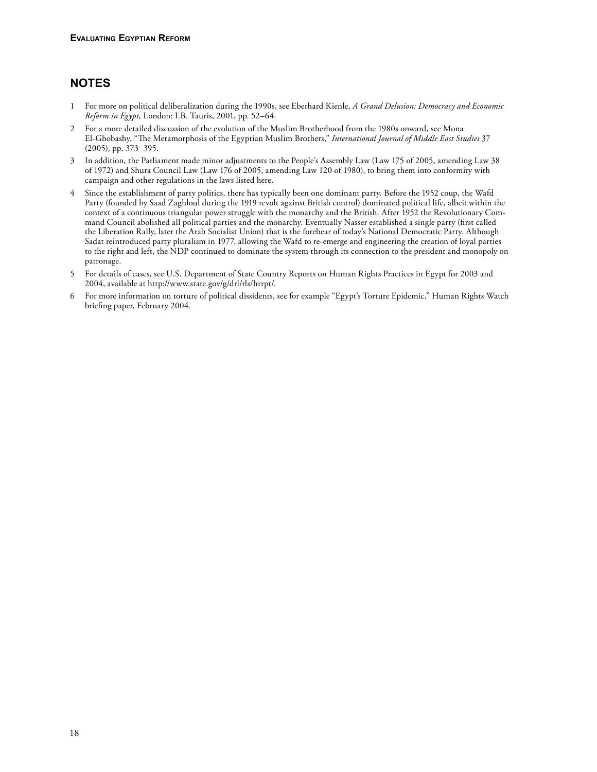# **Notes**

- 1 For more on political deliberalization during the 1990s, see Eberhard Kienle, *A Grand Delusion: Democracy and Economic Reform in Egypt,* London: I.B. Tauris, 2001, pp. 52–64.
- 2 For a more detailed discussion of the evolution of the Muslim Brotherhood from the 1980s onward, see Mona El-Ghobashy, "The Metamorphosis of the Egyptian Muslim Brothers," *International Journal of Middle East Studies* 37 (2005), pp. 373–395.
- 3 In addition, the Parliament made minor adjustments to the People's Assembly Law (Law 175 of 2005, amending Law 38 of 1972) and Shura Council Law (Law 176 of 2005, amending Law 120 of 1980), to bring them into conformity with campaign and other regulations in the laws listed here.
- 4 Since the establishment of party politics, there has typically been one dominant party. Before the 1952 coup, the Wafd Party (founded by Saad Zaghloul during the 1919 revolt against British control) dominated political life, albeit within the context of a continuous triangular power struggle with the monarchy and the British. After 1952 the Revolutionary Command Council abolished all political parties and the monarchy. Eventually Nasser established a single party (first called the Liberation Rally, later the Arab Socialist Union) that is the forebear of today's National Democratic Party. Although Sadat reintroduced party pluralism in 1977, allowing the Wafd to re-emerge and engineering the creation of loyal parties to the right and left, the NDP continued to dominate the system through its connection to the president and monopoly on patronage.
- 5 For details of cases, see U.S. Department of State Country Reports on Human Rights Practices in Egypt for 2003 and 2004, available at http://www.state.gov/g/drl/rls/hrrpt/.
- 6 For more information on torture of political dissidents, see for example "Egypt's Torture Epidemic," Human Rights Watch briefing paper, February 2004.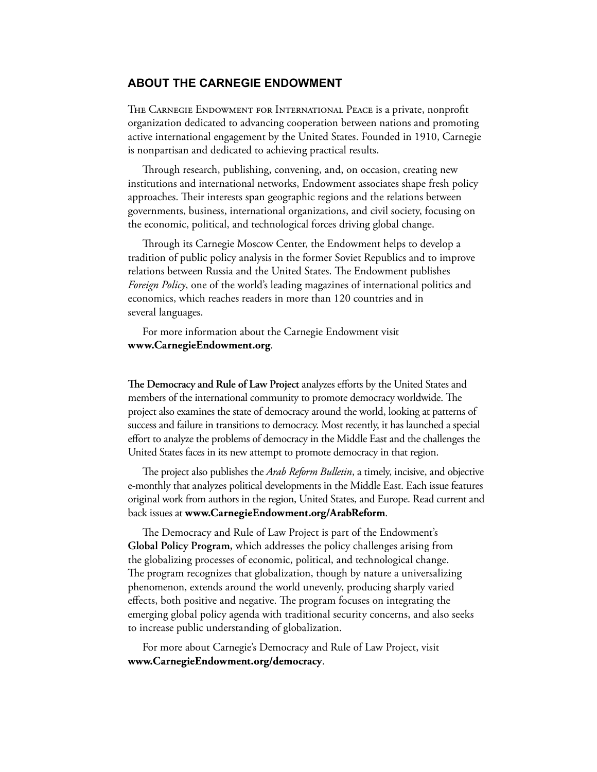#### **About the Carnegie Endowment**

The Carnegie Endowment for International Peace is a private, nonprofit organization dedicated to advancing cooperation between nations and promoting active international engagement by the United States. Founded in 1910, Carnegie is nonpartisan and dedicated to achieving practical results.

Through research, publishing, convening, and, on occasion, creating new institutions and international networks, Endowment associates shape fresh policy approaches. Their interests span geographic regions and the relations between governments, business, international organizations, and civil society, focusing on the economic, political, and technological forces driving global change.

Through its Carnegie Moscow Center, the Endowment helps to develop a tradition of public policy analysis in the former Soviet Republics and to improve relations between Russia and the United States. The Endowment publishes *Foreign Policy*, one of the world's leading magazines of international politics and economics, which reaches readers in more than 120 countries and in several languages.

For more information about the Carnegie Endowment visit **www.CarnegieEndowment.org**.

**The Democracy and Rule of Law Project** analyzes efforts by the United States and members of the international community to promote democracy worldwide. The project also examines the state of democracy around the world, looking at patterns of success and failure in transitions to democracy. Most recently, it has launched a special effort to analyze the problems of democracy in the Middle East and the challenges the United States faces in its new attempt to promote democracy in that region.

The project also publishes the *Arab Reform Bulletin*, a timely, incisive, and objective e-monthly that analyzes political developments in the Middle East. Each issue features original work from authors in the region, United States, and Europe. Read current and back issues at **www.CarnegieEndowment.org/ArabReform**.

The Democracy and Rule of Law Project is part of the Endowment's **Global Policy Program,** which addresses the policy challenges arising from the globalizing processes of economic, political, and technological change. The program recognizes that globalization, though by nature a universalizing phenomenon, extends around the world unevenly, producing sharply varied effects, both positive and negative. The program focuses on integrating the emerging global policy agenda with traditional security concerns, and also seeks to increase public understanding of globalization.

For more about Carnegie's Democracy and Rule of Law Project, visit **www.CarnegieEndowment.org/democracy**.